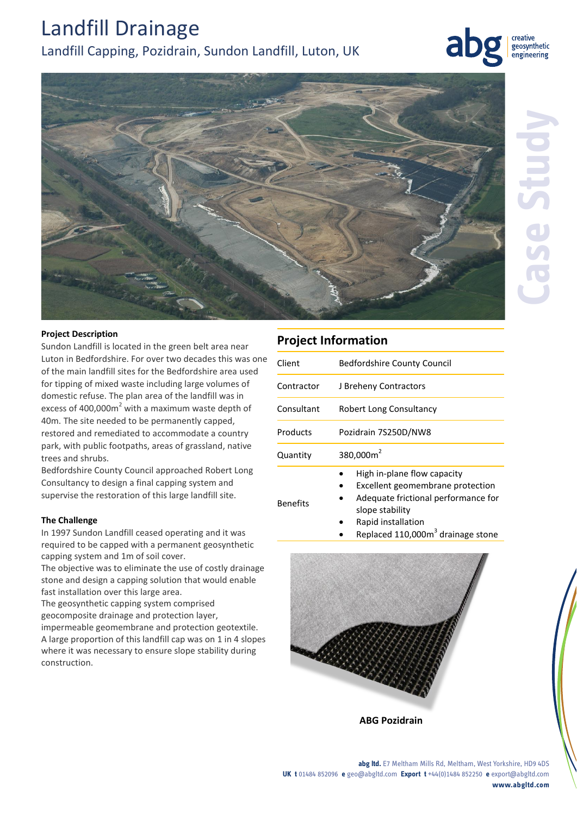# Landfill Drainage Landfill Capping, Pozidrain, Sundon Landfill, Luton, UK

creative geosynthetic engineering



## **Project Description**

Sundon Landfill is located in the green belt area near Luton in [Bedfordshire.](https://en.wikipedia.org/wiki/Bedfordshire) For over two decades this was one of the main landfill sites for the Bedfordshire area used for tipping of mixed waste including large volumes of domestic refuse. The plan area of the landfill was in excess of 400,000 $m<sup>2</sup>$  with a maximum waste depth of 40m. The site needed to be permanently capped, restored and remediated to accommodate a country park, with public footpaths, areas of grassland, native trees and shrubs.

Bedfordshire County Council approached Robert Long Consultancy to design a final capping system and supervise the restoration of this large landfill site.

## **The Challenge**

In 1997 Sundon Landfill ceased operating and it was required to be capped with a permanent geosynthetic capping system and 1m of soil cover.

The objective was to eliminate the use of costly drainage stone and design a capping solution that would enable fast installation over this large area.

The geosynthetic capping system comprised geocomposite drainage and protection layer,

impermeable geomembrane and protection geotextile. A large proportion of this landfill cap was on 1 in 4 slopes where it was necessary to ensure slope stability during construction.

# **Project Information**

Benefits

| Client     | <b>Bedfordshire County Council</b>                              |
|------------|-----------------------------------------------------------------|
| Contractor | J Breheny Contractors                                           |
| Consultant | Robert Long Consultancy                                         |
| Products   | Pozidrain 7S250D/NW8                                            |
| Quantity   | 380,000m <sup>2</sup>                                           |
|            | High in-plane flow capacity<br>Excellent geomembrane protection |

- Adequate frictional performance for slope stability
	- Rapid installation
	- Replaced 110,000 $m<sup>3</sup>$  drainage stone



**ABG Pozidrain**